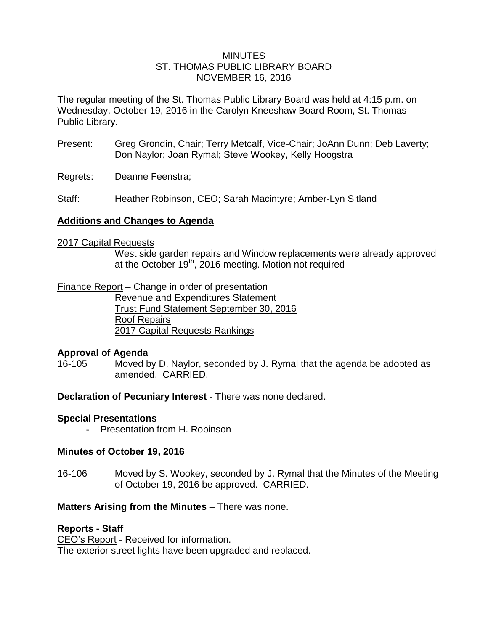# MINUTES ST. THOMAS PUBLIC LIBRARY BOARD NOVEMBER 16, 2016

The regular meeting of the St. Thomas Public Library Board was held at 4:15 p.m. on Wednesday, October 19, 2016 in the Carolyn Kneeshaw Board Room, St. Thomas Public Library.

- Present: Greg Grondin, Chair; Terry Metcalf, Vice-Chair; JoAnn Dunn; Deb Laverty; Don Naylor; Joan Rymal; Steve Wookey, Kelly Hoogstra
- Regrets: Deanne Feenstra;
- Staff: Heather Robinson, CEO; Sarah Macintyre; Amber-Lyn Sitland

# **Additions and Changes to Agenda**

#### 2017 Capital Requests

West side garden repairs and Window replacements were already approved at the October  $19<sup>th</sup>$ , 2016 meeting. Motion not required

### Finance Report – Change in order of presentation

Revenue and Expenditures Statement Trust Fund Statement September 30, 2016 Roof Repairs 2017 Capital Requests Rankings

#### **Approval of Agenda**

16-105 Moved by D. Naylor, seconded by J. Rymal that the agenda be adopted as amended. CARRIED.

#### **Declaration of Pecuniary Interest** - There was none declared.

#### **Special Presentations**

**-** Presentation from H. Robinson

### **Minutes of October 19, 2016**

16-106 Moved by S. Wookey, seconded by J. Rymal that the Minutes of the Meeting of October 19, 2016 be approved. CARRIED.

#### **Matters Arising from the Minutes** – There was none.

#### **Reports - Staff**

CEO's Report - Received for information. The exterior street lights have been upgraded and replaced.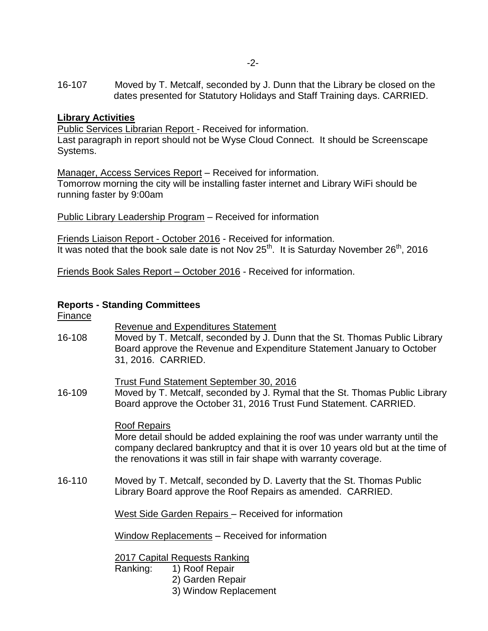16-107 Moved by T. Metcalf, seconded by J. Dunn that the Library be closed on the dates presented for Statutory Holidays and Staff Training days. CARRIED.

# **Library Activities**

Public Services Librarian Report - Received for information.

Last paragraph in report should not be Wyse Cloud Connect. It should be Screenscape Systems.

Manager, Access Services Report – Received for information. Tomorrow morning the city will be installing faster internet and Library WiFi should be running faster by 9:00am

Public Library Leadership Program – Received for information

Friends Liaison Report - October 2016 - Received for information. It was noted that the book sale date is not Nov  $25^{th}$ . It is Saturday November  $26^{th}$ , 2016

Friends Book Sales Report – October 2016 - Received for information.

# **Reports - Standing Committees**

| <u>Finance</u> |                                                                                                                                                                                                                                                              |
|----------------|--------------------------------------------------------------------------------------------------------------------------------------------------------------------------------------------------------------------------------------------------------------|
| 16-108         | <b>Revenue and Expenditures Statement</b><br>Moved by T. Metcalf, seconded by J. Dunn that the St. Thomas Public Library<br>Board approve the Revenue and Expenditure Statement January to October<br>31, 2016. CARRIED.                                     |
| 16-109         | Trust Fund Statement September 30, 2016<br>Moved by T. Metcalf, seconded by J. Rymal that the St. Thomas Public Library<br>Board approve the October 31, 2016 Trust Fund Statement. CARRIED.                                                                 |
|                | <b>Roof Repairs</b><br>More detail should be added explaining the roof was under warranty until the<br>company declared bankruptcy and that it is over 10 years old but at the time of<br>the renovations it was still in fair shape with warranty coverage. |
| 16-110         | Moved by T. Metcalf, seconded by D. Laverty that the St. Thomas Public<br>Library Board approve the Roof Repairs as amended. CARRIED.                                                                                                                        |
|                | West Side Garden Repairs - Received for information                                                                                                                                                                                                          |
|                | Window Replacements - Received for information                                                                                                                                                                                                               |
|                | 2017 Capital Requests Ranking<br>1) Roof Repair<br>Ranking:<br>2) Garden Renair                                                                                                                                                                              |

- 2) Garden Repair
- 3) Window Replacement